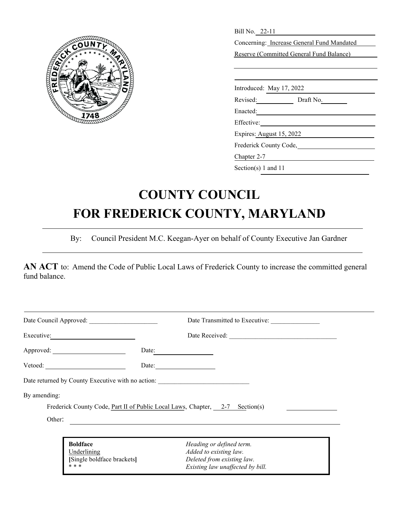

| Bill No. 22-11                             |  |  |  |
|--------------------------------------------|--|--|--|
| Concerning: Increase General Fund Mandated |  |  |  |
| Reserve (Committed General Fund Balance)   |  |  |  |
|                                            |  |  |  |
|                                            |  |  |  |
| Introduced: May 17, 2022                   |  |  |  |
| Revised: Draft No.                         |  |  |  |
| Enacted:                                   |  |  |  |
| Effective:                                 |  |  |  |
| Expires: August 15, 2022                   |  |  |  |
| Frederick County Code,                     |  |  |  |
| Chapter 2-7                                |  |  |  |
| Section(s) 1 and 11                        |  |  |  |

# **COUNTY COUNCIL FOR FREDERICK COUNTY, MARYLAND**

By: Council President M.C. Keegan-Ayer on behalf of County Executive Jan Gardner

**AN ACT** to: Amend the Code of Public Local Laws of Frederick County to increase the committed general fund balance.

| Date Council Approved: |                                                                       | Date Transmitted to Executive:                                                                                       |
|------------------------|-----------------------------------------------------------------------|----------------------------------------------------------------------------------------------------------------------|
|                        |                                                                       | Date Received:                                                                                                       |
|                        | Approved:                                                             | Date:                                                                                                                |
|                        |                                                                       | Date:                                                                                                                |
|                        |                                                                       | Date returned by County Executive with no action: ______________________________                                     |
| By amending:           |                                                                       |                                                                                                                      |
|                        |                                                                       | Frederick County Code, Part II of Public Local Laws, Chapter, 2-7 Section(s)                                         |
| Other:                 |                                                                       |                                                                                                                      |
|                        |                                                                       |                                                                                                                      |
|                        | <b>Boldface</b><br>Underlining<br>[Single boldface brackets]<br>* * * | Heading or defined term.<br>Added to existing law.<br>Deleted from existing law.<br>Existing law unaffected by bill. |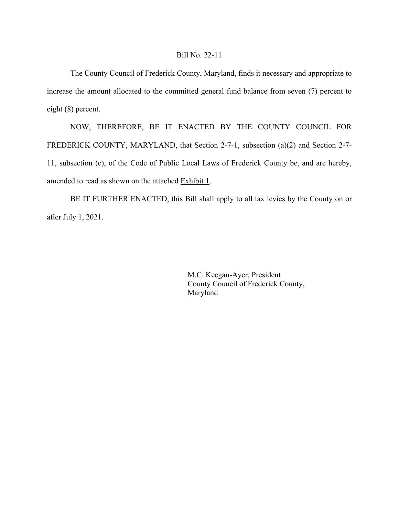## Bill No. 22-11

The County Council of Frederick County, Maryland, finds it necessary and appropriate to increase the amount allocated to the committed general fund balance from seven (7) percent to eight (8) percent.

NOW, THEREFORE, BE IT ENACTED BY THE COUNTY COUNCIL FOR FREDERICK COUNTY, MARYLAND, that Section 2-7-1, subsection (a)(2) and Section 2-7- 11, subsection (c), of the Code of Public Local Laws of Frederick County be, and are hereby, amended to read as shown on the attached Exhibit 1.

BE IT FURTHER ENACTED, this Bill shall apply to all tax levies by the County on or after July 1, 2021.

> M.C. Keegan-Ayer, President County Council of Frederick County, Maryland

 $\mathcal{L}_\text{max}$  , where  $\mathcal{L}_\text{max}$  and  $\mathcal{L}_\text{max}$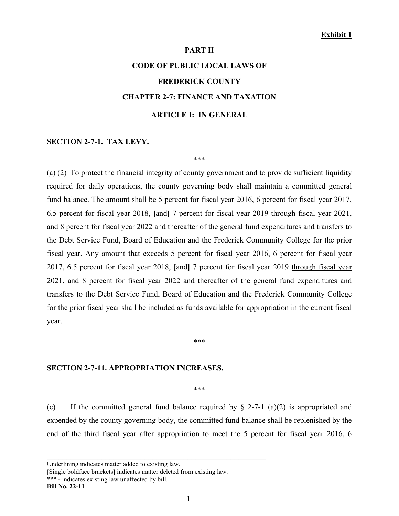### **Exhibit 1**

### **PART II**

# **CODE OF PUBLIC LOCAL LAWS OF FREDERICK COUNTY CHAPTER 2-7: FINANCE AND TAXATION ARTICLE I: IN GENERAL**

### **SECTION 2-7-1. TAX LEVY.**

\*\*\*

(a) (2) To protect the financial integrity of county government and to provide sufficient liquidity required for daily operations, the county governing body shall maintain a committed general fund balance. The amount shall be 5 percent for fiscal year 2016, 6 percent for fiscal year 2017, 6.5 percent for fiscal year 2018, **[**and**]** 7 percent for fiscal year 2019 through fiscal year 2021, and 8 percent for fiscal year 2022 and thereafter of the general fund expenditures and transfers to the Debt Service Fund, Board of Education and the Frederick Community College for the prior fiscal year. Any amount that exceeds 5 percent for fiscal year 2016, 6 percent for fiscal year 2017, 6.5 percent for fiscal year 2018, **[**and**]** 7 percent for fiscal year 2019 through fiscal year 2021, and 8 percent for fiscal year 2022 and thereafter of the general fund expenditures and transfers to the Debt Service Fund, Board of Education and the Frederick Community College for the prior fiscal year shall be included as funds available for appropriation in the current fiscal year.

#### \*\*\*

### **SECTION 2-7-11. APPROPRIATION INCREASES.**

\*\*\*

(c) If the committed general fund balance required by  $\S$  2-7-1 (a)(2) is appropriated and expended by the county governing body, the committed fund balance shall be replenished by the end of the third fiscal year after appropriation to meet the 5 percent for fiscal year 2016, 6

**[**Single boldface brackets**]** indicates matter deleted from existing law.

\_\_\_\_\_\_\_\_\_\_\_\_\_\_\_\_\_\_\_\_\_\_\_\_\_\_\_\_\_\_\_\_\_\_\_\_\_\_\_\_\_\_\_\_\_\_\_\_\_\_\_\_\_\_\_\_

\*\*\* **-** indicates existing law unaffected by bill.

Underlining indicates matter added to existing law.